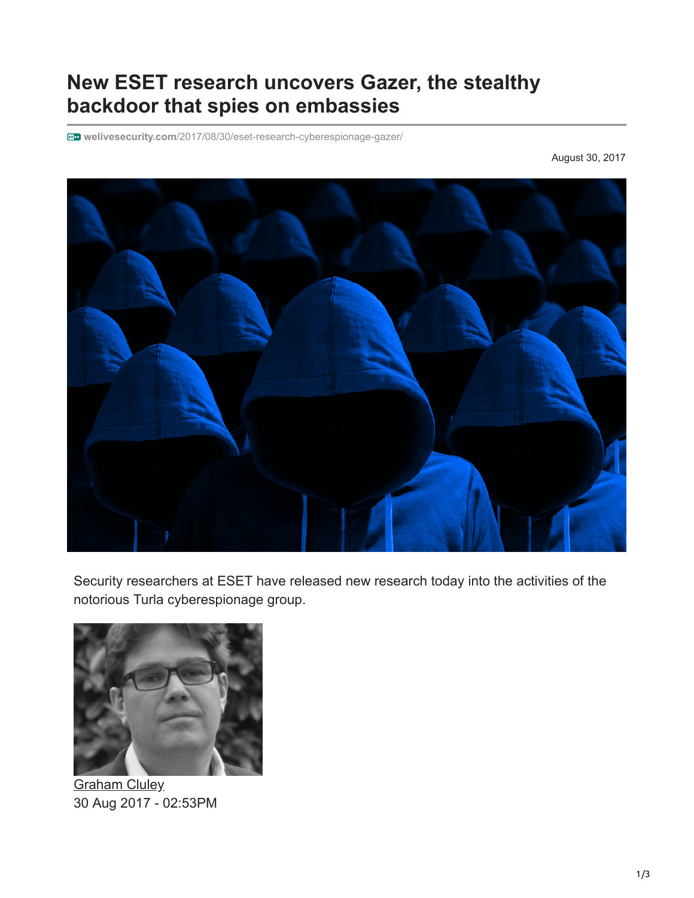## **New ESET research uncovers Gazer, the stealthy backdoor that spies on embassies**

**welivesecurity.com**[/2017/08/30/eset-research-cyberespionage-gazer/](https://www.welivesecurity.com/2017/08/30/eset-research-cyberespionage-gazer/)

August 30, 2017



Security researchers at ESET have released new research today into the activities of the notorious Turla cyberespionage group.



**[Graham Cluley](https://www.welivesecurity.com/author/gcluley/)** 30 Aug 2017 - 02:53PM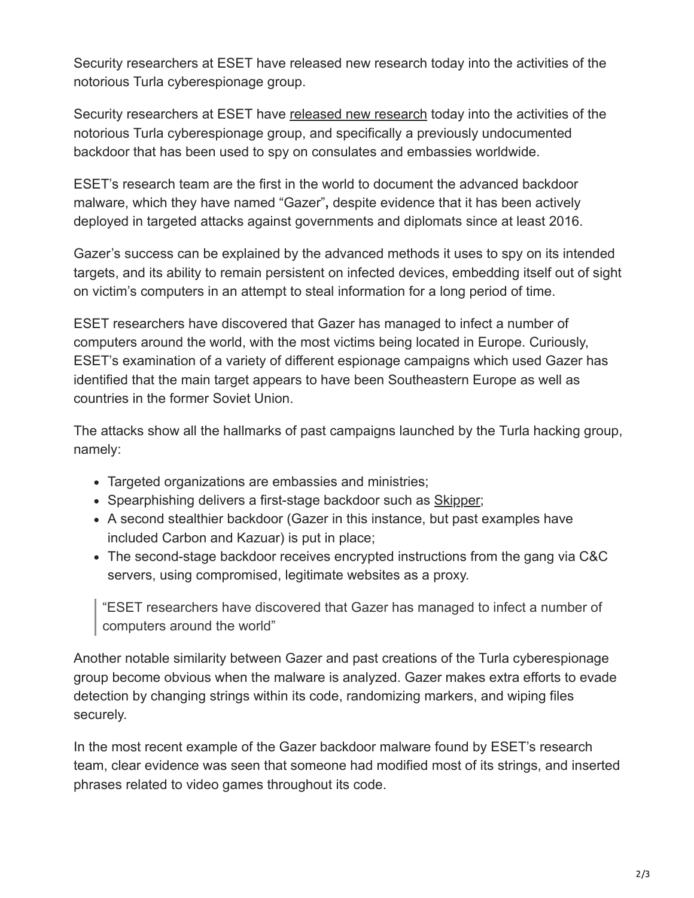Security researchers at ESET have released new research today into the activities of the notorious Turla cyberespionage group.

Security researchers at ESET have [released new research](https://www.welivesecurity.com/wp-content/uploads/2017/08/eset-gazer.pdf) today into the activities of the notorious Turla cyberespionage group, and specifically a previously undocumented backdoor that has been used to spy on consulates and embassies worldwide.

ESET's research team are the first in the world to document the advanced backdoor malware, which they have named "Gazer"**,** despite evidence that it has been actively deployed in targeted attacks against governments and diplomats since at least 2016.

Gazer's success can be explained by the advanced methods it uses to spy on its intended targets, and its ability to remain persistent on infected devices, embedding itself out of sight on victim's computers in an attempt to steal information for a long period of time.

ESET researchers have discovered that Gazer has managed to infect a number of computers around the world, with the most victims being located in Europe. Curiously, ESET's examination of a variety of different espionage campaigns which used Gazer has identified that the main target appears to have been Southeastern Europe as well as countries in the former Soviet Union.

The attacks show all the hallmarks of past campaigns launched by the Turla hacking group, namely:

- Targeted organizations are embassies and ministries;
- Spearphishing delivers a first-stage backdoor such as [Skipper;](https://www.welivesecurity.com/2017/03/30/carbon-paper-peering-turlas-second-stage-backdoor/)
- A second stealthier backdoor (Gazer in this instance, but past examples have included Carbon and Kazuar) is put in place;
- The second-stage backdoor receives encrypted instructions from the gang via C&C servers, using compromised, legitimate websites as a proxy.

"ESET researchers have discovered that Gazer has managed to infect a number of computers around the world"

Another notable similarity between Gazer and past creations of the Turla cyberespionage group become obvious when the malware is analyzed. Gazer makes extra efforts to evade detection by changing strings within its code, randomizing markers, and wiping files securely.

In the most recent example of the Gazer backdoor malware found by ESET's research team, clear evidence was seen that someone had modified most of its strings, and inserted phrases related to video games throughout its code.